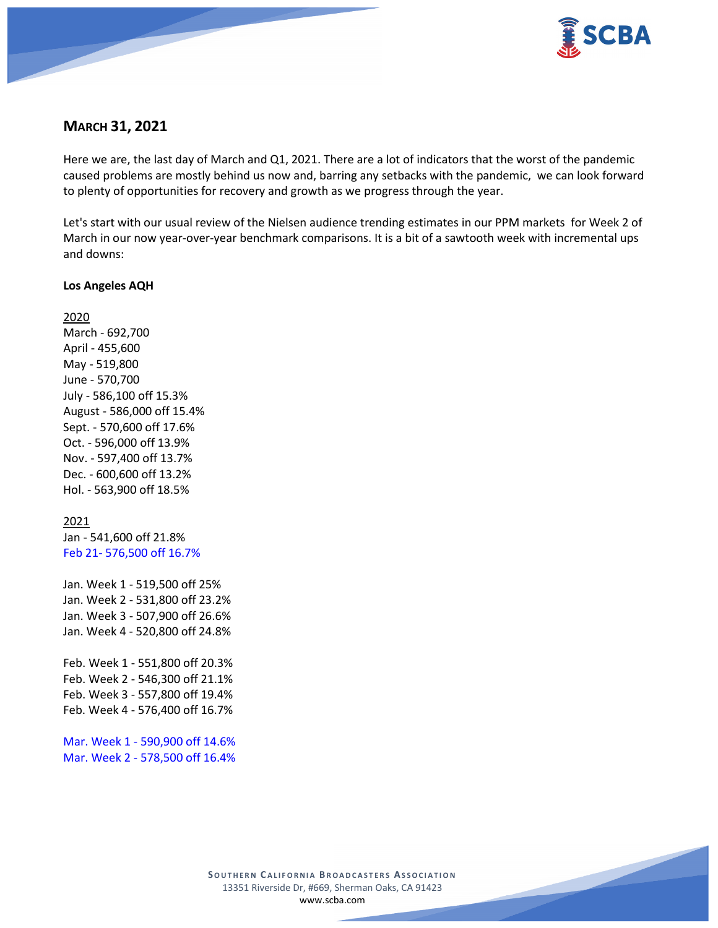

# **MARCH 31, 2021**

Here we are, the last day of March and Q1, 2021. There are a lot of indicators that the worst of the pandemic caused problems are mostly behind us now and, barring any setbacks with the pandemic, we can look forward to plenty of opportunities for recovery and growth as we progress through the year.

Let's start with our usual review of the Nielsen audience trending estimates in our PPM markets for Week 2 of March in our now year-over-year benchmark comparisons. It is a bit of a sawtooth week with incremental ups and downs:

## **Los Angeles AQH**

2020 March - 692,700 April - 455,600 May - 519,800 June - 570,700 July - 586,100 off 15.3% August - 586,000 off 15.4% Sept. - 570,600 off 17.6% Oct. - 596,000 off 13.9% Nov. - 597,400 off 13.7% Dec. - 600,600 off 13.2% Hol. - 563,900 off 18.5%

## 2021

Jan - 541,600 off 21.8% Feb 21- 576,500 off 16.7%

Jan. Week 1 - 519,500 off 25% Jan. Week 2 - 531,800 off 23.2% Jan. Week 3 - 507,900 off 26.6% Jan. Week 4 - 520,800 off 24.8%

Feb. Week 1 - 551,800 off 20.3% Feb. Week 2 - 546,300 off 21.1% Feb. Week 3 - 557,800 off 19.4% Feb. Week 4 - 576,400 off 16.7%

Mar. Week 1 - 590,900 off 14.6% Mar. Week 2 - 578,500 off 16.4%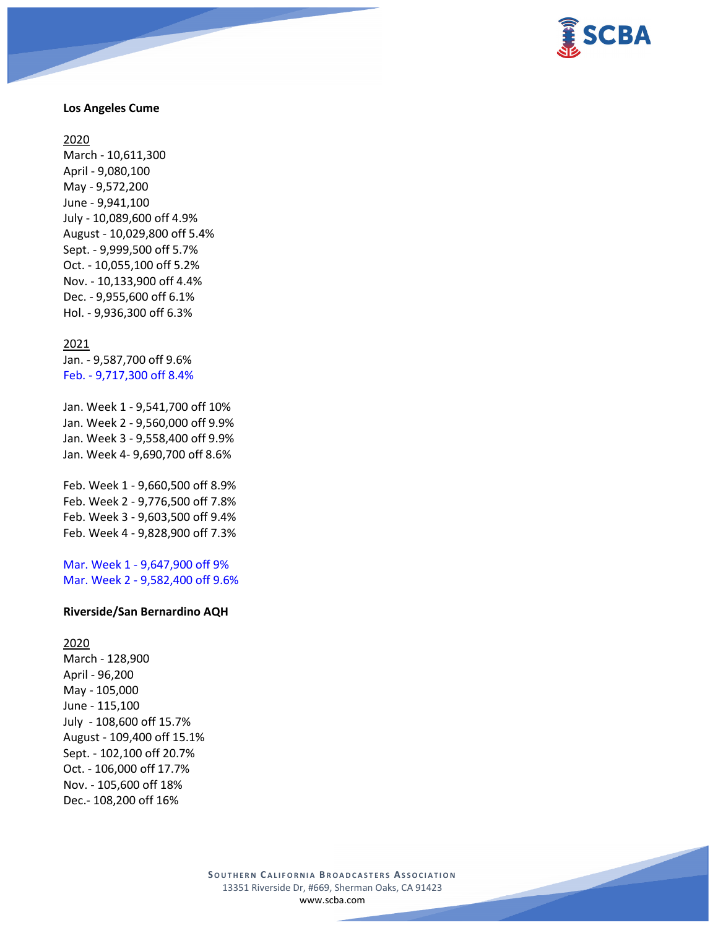

### **Los Angeles Cume**

#### 2020

March - 10,611,300 April - 9,080,100 May - 9,572,200 June - 9,941,100 July - 10,089,600 off 4.9% August - 10,029,800 off 5.4% Sept. - 9,999,500 off 5.7% Oct. - 10,055,100 off 5.2% Nov. - 10,133,900 off 4.4% Dec. - 9,955,600 off 6.1% Hol. - 9,936,300 off 6.3%

#### 2021

Jan. - 9,587,700 off 9.6% Feb. - 9,717,300 off 8.4%

Jan. Week 1 - 9,541,700 off 10% Jan. Week 2 - 9,560,000 off 9.9% Jan. Week 3 - 9,558,400 off 9.9% Jan. Week 4- 9,690,700 off 8.6%

Feb. Week 1 - 9,660,500 off 8.9% Feb. Week 2 - 9,776,500 off 7.8% Feb. Week 3 - 9,603,500 off 9.4% Feb. Week 4 - 9,828,900 off 7.3%

Mar. Week 1 - 9,647,900 off 9% Mar. Week 2 - 9,582,400 off 9.6%

### **Riverside/San Bernardino AQH**

2020 March - 128,900 April - 96,200 May - 105,000 June - 115,100 July - 108,600 off 15.7% August - 109,400 off 15.1% Sept. - 102,100 off 20.7% Oct. - 106,000 off 17.7% Nov. - 105,600 off 18% Dec.- 108,200 off 16%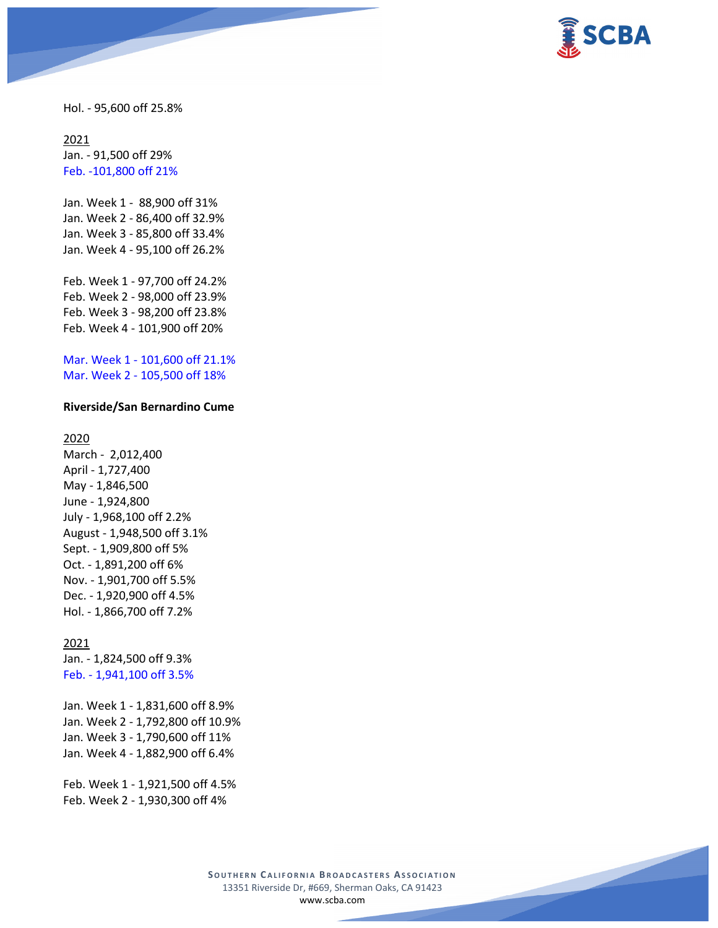

Hol. - 95,600 off 25.8%

2021 Jan. - 91,500 off 29% Feb. -101,800 off 21%

Jan. Week 1 - 88,900 off 31% Jan. Week 2 - 86,400 off 32.9% Jan. Week 3 - 85,800 off 33.4% Jan. Week 4 - 95,100 off 26.2%

Feb. Week 1 - 97,700 off 24.2% Feb. Week 2 - 98,000 off 23.9% Feb. Week 3 - 98,200 off 23.8% Feb. Week 4 - 101,900 off 20%

Mar. Week 1 - 101,600 off 21.1% Mar. Week 2 - 105,500 off 18%

### **Riverside/San Bernardino Cume**

## 2020

March - 2,012,400 April - 1,727,400 May - 1,846,500 June - 1,924,800 July - 1,968,100 off 2.2% August - 1,948,500 off 3.1% Sept. - 1,909,800 off 5% Oct. - 1,891,200 off 6% Nov. - 1,901,700 off 5.5% Dec. - 1,920,900 off 4.5% Hol. - 1,866,700 off 7.2%

#### 2021

Jan. - 1,824,500 off 9.3% Feb. - 1,941,100 off 3.5%

Jan. Week 1 - 1,831,600 off 8.9% Jan. Week 2 - 1,792,800 off 10.9% Jan. Week 3 - 1,790,600 off 11% Jan. Week 4 - 1,882,900 off 6.4%

Feb. Week 1 - 1,921,500 off 4.5% Feb. Week 2 - 1,930,300 off 4%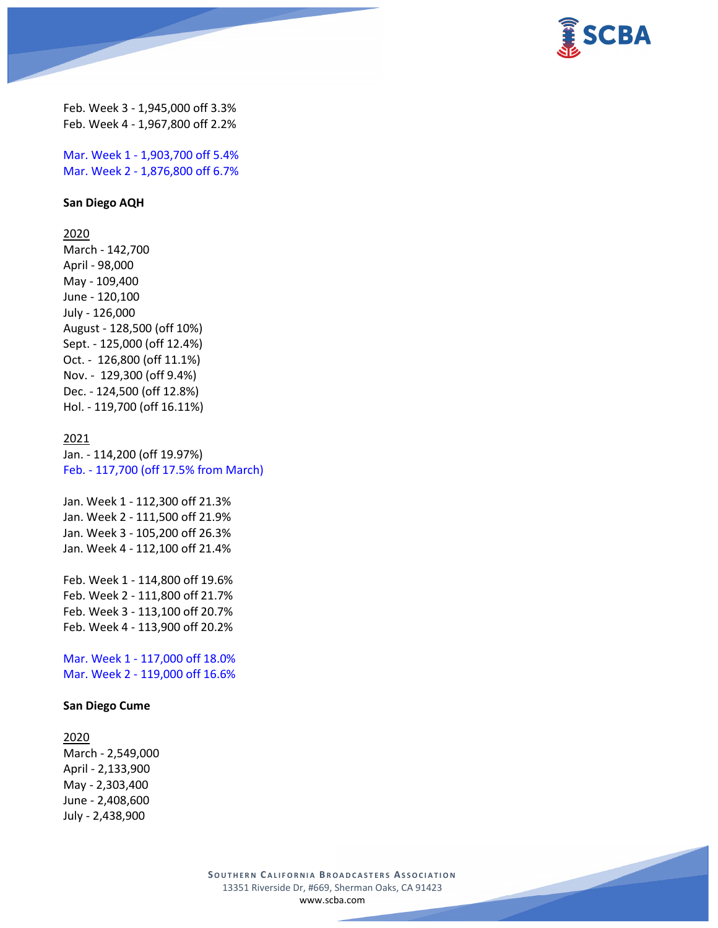

Feb. Week 3 - 1,945,000 off 3.3% Feb. Week 4 - 1,967,800 off 2.2%

Mar. Week 1 - 1,903,700 off 5.4% Mar. Week 2 - 1,876,800 off 6.7%

### **San Diego AQH**

2020

March - 142,700 April - 98,000 May - 109,400 June - 120,100 July - 126,000 August - 128,500 (off 10%) Sept. - 125,000 (off 12.4%) Oct. - 126,800 (off 11.1%) Nov. - 129,300 (off 9.4%) Dec. - 124,500 (off 12.8%) Hol. - 119,700 (off 16.11%)

## 2021

Jan. - 114,200 (off 19.97%) Feb. - 117,700 (off 17.5% from March)

Jan. Week 1 - 112,300 off 21.3% Jan. Week 2 - 111,500 off 21.9% Jan. Week 3 - 105,200 off 26.3% Jan. Week 4 - 112,100 off 21.4%

Feb. Week 1 - 114,800 off 19.6% Feb. Week 2 - 111,800 off 21.7% Feb. Week 3 - 113,100 off 20.7% Feb. Week 4 - 113,900 off 20.2%

Mar. Week 1 - 117,000 off 18.0% Mar. Week 2 - 119,000 off 16.6%

### **San Diego Cume**

#### 2020

March - 2,549,000 April - 2,133,900 May - 2,303,400 June - 2,408,600 July - 2,438,900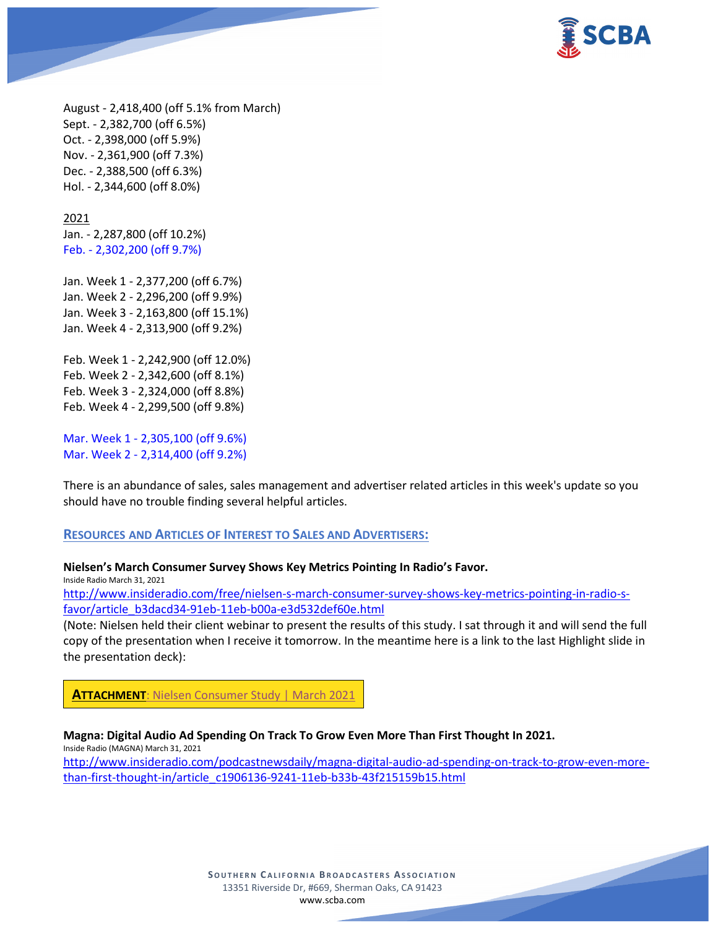

August - 2,418,400 (off 5.1% from March) Sept. - 2,382,700 (off 6.5%) Oct. - 2,398,000 (off 5.9%) Nov. - 2,361,900 (off 7.3%) Dec. - 2,388,500 (off 6.3%) Hol. - 2,344,600 (off 8.0%)

### 2021

Jan. - 2,287,800 (off 10.2%) Feb. - 2,302,200 (off 9.7%)

Jan. Week 1 - 2,377,200 (off 6.7%) Jan. Week 2 - 2,296,200 (off 9.9%) Jan. Week 3 - 2,163,800 (off 15.1%) Jan. Week 4 - 2,313,900 (off 9.2%)

Feb. Week 1 - 2,242,900 (off 12.0%) Feb. Week 2 - 2,342,600 (off 8.1%) Feb. Week 3 - 2,324,000 (off 8.8%) Feb. Week 4 - 2,299,500 (off 9.8%)

Mar. Week 1 - 2,305,100 (off 9.6%) Mar. Week 2 - 2,314,400 (off 9.2%)

There is an abundance of sales, sales management and advertiser related articles in this week's update so you should have no trouble finding several helpful articles.

### **RESOURCES AND ARTICLES OF INTEREST TO SALES AND ADVERTISERS:**

### **Nielsen's March Consumer Survey Shows Key Metrics Pointing In Radio's Favor.**

Inside Radio March 31, 2021

[http://www.insideradio.com/free/nielsen-s-march-consumer-survey-shows-key-metrics-pointing-in-radio-s](http://www.insideradio.com/free/nielsen-s-march-consumer-survey-shows-key-metrics-pointing-in-radio-s-favor/article_b3dacd34-91eb-11eb-b00a-e3d532def60e.html)[favor/article\\_b3dacd34-91eb-11eb-b00a-e3d532def60e.html](http://www.insideradio.com/free/nielsen-s-march-consumer-survey-shows-key-metrics-pointing-in-radio-s-favor/article_b3dacd34-91eb-11eb-b00a-e3d532def60e.html)

(Note: Nielsen held their client webinar to present the results of this study. I sat through it and will send the full copy of the presentation when I receive it tomorrow. In the meantime here is a link to the last Highlight slide in the presentation deck):

**ATTACHMENT**[: Nielsen Consumer Study | March 2021](https://scba.com/2021-03-consumer-study-update-final/)

**Magna: Digital Audio Ad Spending On Track To Grow Even More Than First Thought In 2021.**

Inside Radio (MAGNA) March 31, 2021

[http://www.insideradio.com/podcastnewsdaily/magna-digital-audio-ad-spending-on-track-to-grow-even-more](http://www.insideradio.com/podcastnewsdaily/magna-digital-audio-ad-spending-on-track-to-grow-even-more-than-first-thought-in/article_c1906136-9241-11eb-b33b-43f215159b15.html)[than-first-thought-in/article\\_c1906136-9241-11eb-b33b-43f215159b15.html](http://www.insideradio.com/podcastnewsdaily/magna-digital-audio-ad-spending-on-track-to-grow-even-more-than-first-thought-in/article_c1906136-9241-11eb-b33b-43f215159b15.html)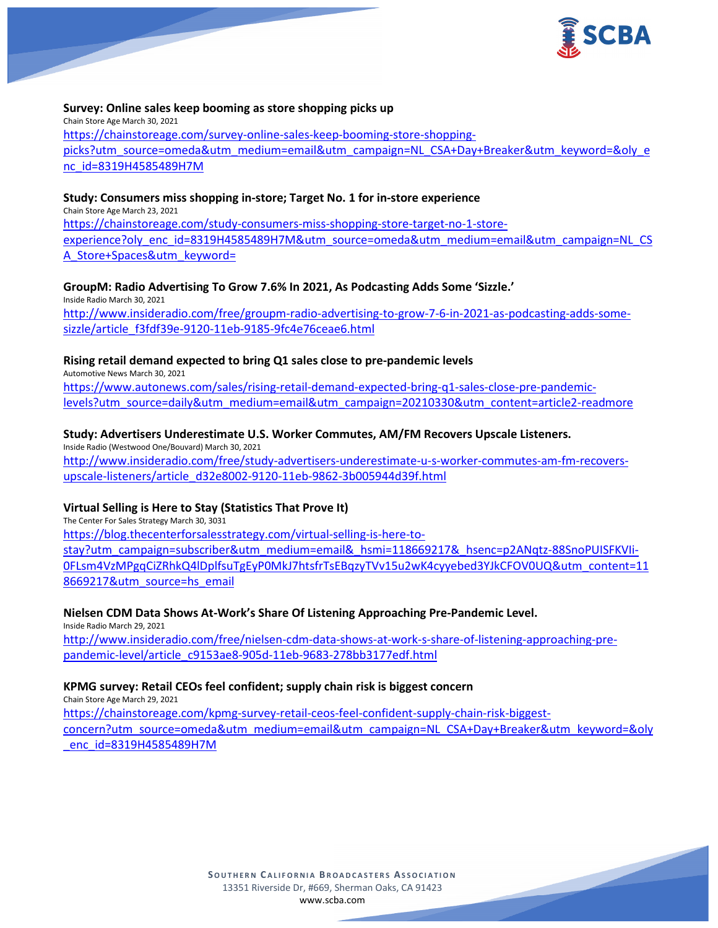

### **Survey: Online sales keep booming as store shopping picks up**

Chain Store Age March 30, 2021 [https://chainstoreage.com/survey-online-sales-keep-booming-store-shopping](https://chainstoreage.com/survey-online-sales-keep-booming-store-shopping-picks?utm_source=omeda&utm_medium=email&utm_campaign=NL_CSA+Day+Breaker&utm_keyword=&oly_enc_id=8319H4585489H7M)[picks?utm\\_source=omeda&utm\\_medium=email&utm\\_campaign=NL\\_CSA+Day+Breaker&utm\\_keyword=&oly\\_e](https://chainstoreage.com/survey-online-sales-keep-booming-store-shopping-picks?utm_source=omeda&utm_medium=email&utm_campaign=NL_CSA+Day+Breaker&utm_keyword=&oly_enc_id=8319H4585489H7M) [nc\\_id=8319H4585489H7M](https://chainstoreage.com/survey-online-sales-keep-booming-store-shopping-picks?utm_source=omeda&utm_medium=email&utm_campaign=NL_CSA+Day+Breaker&utm_keyword=&oly_enc_id=8319H4585489H7M)

### **Study: Consumers miss shopping in-store; Target No. 1 for in-store experience**

Chain Store Age March 23, 2021 [https://chainstoreage.com/study-consumers-miss-shopping-store-target-no-1-store](https://chainstoreage.com/study-consumers-miss-shopping-store-target-no-1-store-experience?oly_enc_id=8319H4585489H7M&utm_source=omeda&utm_medium=email&utm_campaign=NL_CSA_Store+Spaces&utm_keyword=)[experience?oly\\_enc\\_id=8319H4585489H7M&utm\\_source=omeda&utm\\_medium=email&utm\\_campaign=NL\\_CS](https://chainstoreage.com/study-consumers-miss-shopping-store-target-no-1-store-experience?oly_enc_id=8319H4585489H7M&utm_source=omeda&utm_medium=email&utm_campaign=NL_CSA_Store+Spaces&utm_keyword=) [A\\_Store+Spaces&utm\\_keyword=](https://chainstoreage.com/study-consumers-miss-shopping-store-target-no-1-store-experience?oly_enc_id=8319H4585489H7M&utm_source=omeda&utm_medium=email&utm_campaign=NL_CSA_Store+Spaces&utm_keyword=)

## **GroupM: Radio Advertising To Grow 7.6% In 2021, As Podcasting Adds Some 'Sizzle.'**

Inside Radio March 30, 2021 [http://www.insideradio.com/free/groupm-radio-advertising-to-grow-7-6-in-2021-as-podcasting-adds-some](http://www.insideradio.com/free/groupm-radio-advertising-to-grow-7-6-in-2021-as-podcasting-adds-some-sizzle/article_f3fdf39e-9120-11eb-9185-9fc4e76ceae6.html)[sizzle/article\\_f3fdf39e-9120-11eb-9185-9fc4e76ceae6.html](http://www.insideradio.com/free/groupm-radio-advertising-to-grow-7-6-in-2021-as-podcasting-adds-some-sizzle/article_f3fdf39e-9120-11eb-9185-9fc4e76ceae6.html)

### **Rising retail demand expected to bring Q1 sales close to pre-pandemic levels**

Automotive News March 30, 2021 [https://www.autonews.com/sales/rising-retail-demand-expected-bring-q1-sales-close-pre-pandemic](https://www.autonews.com/sales/rising-retail-demand-expected-bring-q1-sales-close-pre-pandemic-levels?utm_source=daily&utm_medium=email&utm_campaign=20210330&utm_content=article2-readmore)[levels?utm\\_source=daily&utm\\_medium=email&utm\\_campaign=20210330&utm\\_content=article2-readmore](https://www.autonews.com/sales/rising-retail-demand-expected-bring-q1-sales-close-pre-pandemic-levels?utm_source=daily&utm_medium=email&utm_campaign=20210330&utm_content=article2-readmore)

## **Study: Advertisers Underestimate U.S. Worker Commutes, AM/FM Recovers Upscale Listeners.**

Inside Radio (Westwood One/Bouvard) March 30, 2021 [http://www.insideradio.com/free/study-advertisers-underestimate-u-s-worker-commutes-am-fm-recovers](http://www.insideradio.com/free/study-advertisers-underestimate-u-s-worker-commutes-am-fm-recovers-upscale-listeners/article_d32e8002-9120-11eb-9862-3b005944d39f.html)[upscale-listeners/article\\_d32e8002-9120-11eb-9862-3b005944d39f.html](http://www.insideradio.com/free/study-advertisers-underestimate-u-s-worker-commutes-am-fm-recovers-upscale-listeners/article_d32e8002-9120-11eb-9862-3b005944d39f.html)

## **Virtual Selling is Here to Stay (Statistics That Prove It)**

The Center For Sales Strategy March 30, 3031

[https://blog.thecenterforsalesstrategy.com/virtual-selling-is-here-to](https://blog.thecenterforsalesstrategy.com/virtual-selling-is-here-to-stay?utm_campaign=subscriber&utm_medium=email&_hsmi=118669217&_hsenc=p2ANqtz-88SnoPUISFKVIi-0FLsm4VzMPgqCiZRhkQ4lDplfsuTgEyP0MkJ7htsfrTsEBqzyTVv15u2wK4cyyebed3YJkCFOV0UQ&utm_content=118669217&utm_source=hs_email)[stay?utm\\_campaign=subscriber&utm\\_medium=email&\\_hsmi=118669217&\\_hsenc=p2ANqtz-88SnoPUISFKVIi-](https://blog.thecenterforsalesstrategy.com/virtual-selling-is-here-to-stay?utm_campaign=subscriber&utm_medium=email&_hsmi=118669217&_hsenc=p2ANqtz-88SnoPUISFKVIi-0FLsm4VzMPgqCiZRhkQ4lDplfsuTgEyP0MkJ7htsfrTsEBqzyTVv15u2wK4cyyebed3YJkCFOV0UQ&utm_content=118669217&utm_source=hs_email)[0FLsm4VzMPgqCiZRhkQ4lDplfsuTgEyP0MkJ7htsfrTsEBqzyTVv15u2wK4cyyebed3YJkCFOV0UQ&utm\\_content=11](https://blog.thecenterforsalesstrategy.com/virtual-selling-is-here-to-stay?utm_campaign=subscriber&utm_medium=email&_hsmi=118669217&_hsenc=p2ANqtz-88SnoPUISFKVIi-0FLsm4VzMPgqCiZRhkQ4lDplfsuTgEyP0MkJ7htsfrTsEBqzyTVv15u2wK4cyyebed3YJkCFOV0UQ&utm_content=118669217&utm_source=hs_email) [8669217&utm\\_source=hs\\_email](https://blog.thecenterforsalesstrategy.com/virtual-selling-is-here-to-stay?utm_campaign=subscriber&utm_medium=email&_hsmi=118669217&_hsenc=p2ANqtz-88SnoPUISFKVIi-0FLsm4VzMPgqCiZRhkQ4lDplfsuTgEyP0MkJ7htsfrTsEBqzyTVv15u2wK4cyyebed3YJkCFOV0UQ&utm_content=118669217&utm_source=hs_email)

### **Nielsen CDM Data Shows At-Work's Share Of Listening Approaching Pre-Pandemic Level.**

Inside Radio March 29, 2021 [http://www.insideradio.com/free/nielsen-cdm-data-shows-at-work-s-share-of-listening-approaching-pre](http://www.insideradio.com/free/nielsen-cdm-data-shows-at-work-s-share-of-listening-approaching-pre-pandemic-level/article_c9153ae8-905d-11eb-9683-278bb3177edf.html)[pandemic-level/article\\_c9153ae8-905d-11eb-9683-278bb3177edf.html](http://www.insideradio.com/free/nielsen-cdm-data-shows-at-work-s-share-of-listening-approaching-pre-pandemic-level/article_c9153ae8-905d-11eb-9683-278bb3177edf.html)

## **KPMG survey: Retail CEOs feel confident; supply chain risk is biggest concern**

Chain Store Age March 29, 2021 [https://chainstoreage.com/kpmg-survey-retail-ceos-feel-confident-supply-chain-risk-biggest](https://chainstoreage.com/kpmg-survey-retail-ceos-feel-confident-supply-chain-risk-biggest-concern?utm_source=omeda&utm_medium=email&utm_campaign=NL_CSA+Day+Breaker&utm_keyword=&oly_enc_id=8319H4585489H7M)[concern?utm\\_source=omeda&utm\\_medium=email&utm\\_campaign=NL\\_CSA+Day+Breaker&utm\\_keyword=&oly](https://chainstoreage.com/kpmg-survey-retail-ceos-feel-confident-supply-chain-risk-biggest-concern?utm_source=omeda&utm_medium=email&utm_campaign=NL_CSA+Day+Breaker&utm_keyword=&oly_enc_id=8319H4585489H7M) [\\_enc\\_id=8319H4585489H7M](https://chainstoreage.com/kpmg-survey-retail-ceos-feel-confident-supply-chain-risk-biggest-concern?utm_source=omeda&utm_medium=email&utm_campaign=NL_CSA+Day+Breaker&utm_keyword=&oly_enc_id=8319H4585489H7M)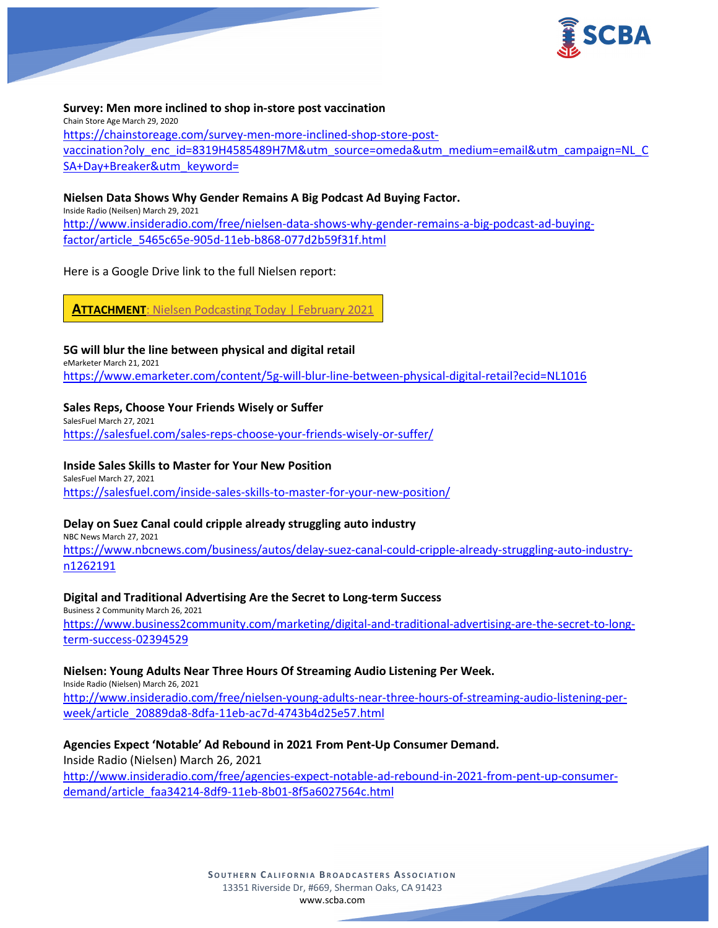

## **Survey: Men more inclined to shop in-store post vaccination** Chain Store Age March 29, 2020 [https://chainstoreage.com/survey-men-more-inclined-shop-store-post](https://chainstoreage.com/survey-men-more-inclined-shop-store-post-vaccination?oly_enc_id=8319H4585489H7M&utm_source=omeda&utm_medium=email&utm_campaign=NL_CSA+Day+Breaker&utm_keyword=)[vaccination?oly\\_enc\\_id=8319H4585489H7M&utm\\_source=omeda&utm\\_medium=email&utm\\_campaign=NL\\_C](https://chainstoreage.com/survey-men-more-inclined-shop-store-post-vaccination?oly_enc_id=8319H4585489H7M&utm_source=omeda&utm_medium=email&utm_campaign=NL_CSA+Day+Breaker&utm_keyword=) [SA+Day+Breaker&utm\\_keyword=](https://chainstoreage.com/survey-men-more-inclined-shop-store-post-vaccination?oly_enc_id=8319H4585489H7M&utm_source=omeda&utm_medium=email&utm_campaign=NL_CSA+Day+Breaker&utm_keyword=)

## **Nielsen Data Shows Why Gender Remains A Big Podcast Ad Buying Factor.**

Inside Radio (Neilsen) March 29, 2021 [http://www.insideradio.com/free/nielsen-data-shows-why-gender-remains-a-big-podcast-ad-buying](http://www.insideradio.com/free/nielsen-data-shows-why-gender-remains-a-big-podcast-ad-buying-factor/article_5465c65e-905d-11eb-b868-077d2b59f31f.html)[factor/article\\_5465c65e-905d-11eb-b868-077d2b59f31f.html](http://www.insideradio.com/free/nielsen-data-shows-why-gender-remains-a-big-podcast-ad-buying-factor/article_5465c65e-905d-11eb-b868-077d2b59f31f.html)

Here is a Google Drive link to the full Nielsen report:

**ATTACHMENT[: Nielsen Podcasting Today | February](https://scba.com/nielsen-podcasting-today-feb-2021/) 2021** 

#### **5G will blur the line between physical and digital retail** eMarketer March 21, 2021

<https://www.emarketer.com/content/5g-will-blur-line-between-physical-digital-retail?ecid=NL1016>

## **Sales Reps, Choose Your Friends Wisely or Suffer**

SalesFuel March 27, 2021 <https://salesfuel.com/sales-reps-choose-your-friends-wisely-or-suffer/>

## **Inside Sales Skills to Master for Your New Position**

SalesFuel March 27, 2021 <https://salesfuel.com/inside-sales-skills-to-master-for-your-new-position/>

## **Delay on Suez Canal could cripple already struggling auto industry**

NBC News March 27, 2021

[https://www.nbcnews.com/business/autos/delay-suez-canal-could-cripple-already-struggling-auto-industry](https://www.nbcnews.com/business/autos/delay-suez-canal-could-cripple-already-struggling-auto-industry-n1262191)[n1262191](https://www.nbcnews.com/business/autos/delay-suez-canal-could-cripple-already-struggling-auto-industry-n1262191)

### **Digital and Traditional Advertising Are the Secret to Long-term Success**

Business 2 Community March 26, 2021 [https://www.business2community.com/marketing/digital-and-traditional-advertising-are-the-secret-to-long](https://www.business2community.com/marketing/digital-and-traditional-advertising-are-the-secret-to-long-term-success-02394529)[term-success-02394529](https://www.business2community.com/marketing/digital-and-traditional-advertising-are-the-secret-to-long-term-success-02394529)

## **Nielsen: Young Adults Near Three Hours Of Streaming Audio Listening Per Week.**

Inside Radio (Nielsen) March 26, 2021 [http://www.insideradio.com/free/nielsen-young-adults-near-three-hours-of-streaming-audio-listening-per](http://www.insideradio.com/free/nielsen-young-adults-near-three-hours-of-streaming-audio-listening-per-week/article_20889da8-8dfa-11eb-ac7d-4743b4d25e57.html)[week/article\\_20889da8-8dfa-11eb-ac7d-4743b4d25e57.html](http://www.insideradio.com/free/nielsen-young-adults-near-three-hours-of-streaming-audio-listening-per-week/article_20889da8-8dfa-11eb-ac7d-4743b4d25e57.html)

## **Agencies Expect 'Notable' Ad Rebound in 2021 From Pent-Up Consumer Demand.**

Inside Radio (Nielsen) March 26, 2021 [http://www.insideradio.com/free/agencies-expect-notable-ad-rebound-in-2021-from-pent-up-consumer](http://www.insideradio.com/free/agencies-expect-notable-ad-rebound-in-2021-from-pent-up-consumer-demand/article_faa34214-8df9-11eb-8b01-8f5a6027564c.html)[demand/article\\_faa34214-8df9-11eb-8b01-8f5a6027564c.html](http://www.insideradio.com/free/agencies-expect-notable-ad-rebound-in-2021-from-pent-up-consumer-demand/article_faa34214-8df9-11eb-8b01-8f5a6027564c.html)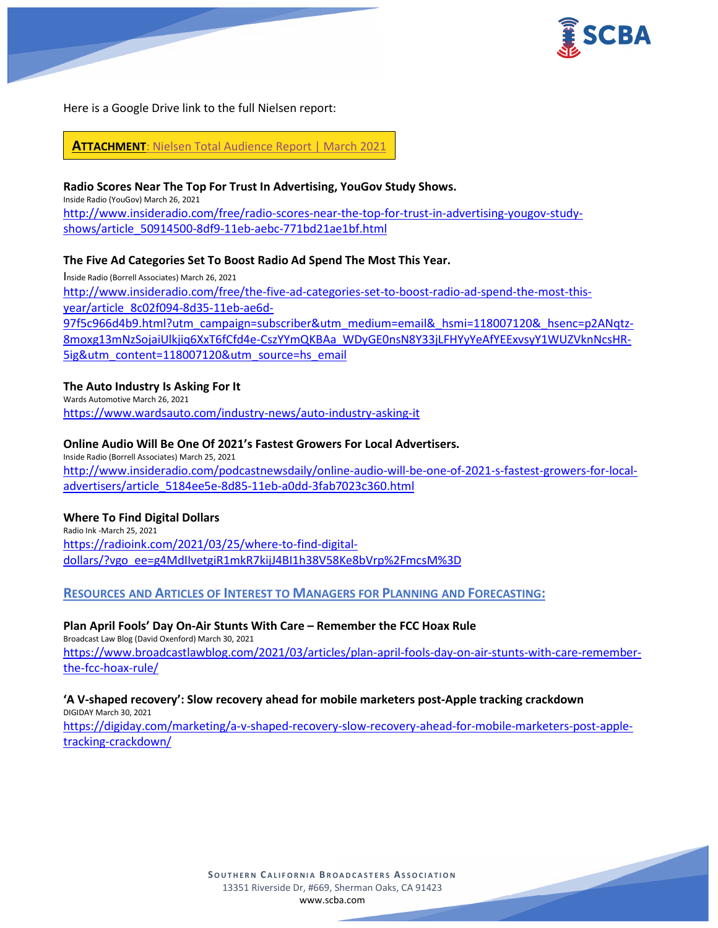

Here is a Google Drive link to the full Nielsen report:

**ATTACHMENT**[: Nielsen Total Audience Report](https://scba.com/2021_q3_nielsen_total_audience_report/) | March 2021

## **Radio Scores Near The Top For Trust In Advertising, YouGov Study Shows.**

Inside Radio (YouGov) March 26, 2021

[http://www.insideradio.com/free/radio-scores-near-the-top-for-trust-in-advertising-yougov-study](http://www.insideradio.com/free/radio-scores-near-the-top-for-trust-in-advertising-yougov-study-shows/article_50914500-8df9-11eb-aebc-771bd21ae1bf.html)[shows/article\\_50914500-8df9-11eb-aebc-771bd21ae1bf.html](http://www.insideradio.com/free/radio-scores-near-the-top-for-trust-in-advertising-yougov-study-shows/article_50914500-8df9-11eb-aebc-771bd21ae1bf.html)

## **The Five Ad Categories Set To Boost Radio Ad Spend The Most This Year.**

Inside Radio (Borrell Associates) March 26, 2021 [http://www.insideradio.com/free/the-five-ad-categories-set-to-boost-radio-ad-spend-the-most-this](http://www.insideradio.com/free/the-five-ad-categories-set-to-boost-radio-ad-spend-the-most-this-year/article_8c02f094-8d35-11eb-ae6d-97f5c966d4b9.html?utm_campaign=subscriber&utm_medium=email&_hsmi=118007120&_hsenc=p2ANqtz-8moxg13mNzSojaiUlkjiq6XxT6fCfd4e-CszYYmQKBAa_WDyGE0nsN8Y33jLFHYyYeAfYEExvsyY1WUZVknNcsHR-5ig&utm_content=118007120&utm_source=hs_email)[year/article\\_8c02f094-8d35-11eb-ae6d-](http://www.insideradio.com/free/the-five-ad-categories-set-to-boost-radio-ad-spend-the-most-this-year/article_8c02f094-8d35-11eb-ae6d-97f5c966d4b9.html?utm_campaign=subscriber&utm_medium=email&_hsmi=118007120&_hsenc=p2ANqtz-8moxg13mNzSojaiUlkjiq6XxT6fCfd4e-CszYYmQKBAa_WDyGE0nsN8Y33jLFHYyYeAfYEExvsyY1WUZVknNcsHR-5ig&utm_content=118007120&utm_source=hs_email)[97f5c966d4b9.html?utm\\_campaign=subscriber&utm\\_medium=email&\\_hsmi=118007120&\\_hsenc=p2ANqtz-](http://www.insideradio.com/free/the-five-ad-categories-set-to-boost-radio-ad-spend-the-most-this-year/article_8c02f094-8d35-11eb-ae6d-97f5c966d4b9.html?utm_campaign=subscriber&utm_medium=email&_hsmi=118007120&_hsenc=p2ANqtz-8moxg13mNzSojaiUlkjiq6XxT6fCfd4e-CszYYmQKBAa_WDyGE0nsN8Y33jLFHYyYeAfYEExvsyY1WUZVknNcsHR-5ig&utm_content=118007120&utm_source=hs_email)[8moxg13mNzSojaiUlkjiq6XxT6fCfd4e-CszYYmQKBAa\\_WDyGE0nsN8Y33jLFHYyYeAfYEExvsyY1WUZVknNcsHR-](http://www.insideradio.com/free/the-five-ad-categories-set-to-boost-radio-ad-spend-the-most-this-year/article_8c02f094-8d35-11eb-ae6d-97f5c966d4b9.html?utm_campaign=subscriber&utm_medium=email&_hsmi=118007120&_hsenc=p2ANqtz-8moxg13mNzSojaiUlkjiq6XxT6fCfd4e-CszYYmQKBAa_WDyGE0nsN8Y33jLFHYyYeAfYEExvsyY1WUZVknNcsHR-5ig&utm_content=118007120&utm_source=hs_email)[5ig&utm\\_content=118007120&utm\\_source=hs\\_email](http://www.insideradio.com/free/the-five-ad-categories-set-to-boost-radio-ad-spend-the-most-this-year/article_8c02f094-8d35-11eb-ae6d-97f5c966d4b9.html?utm_campaign=subscriber&utm_medium=email&_hsmi=118007120&_hsenc=p2ANqtz-8moxg13mNzSojaiUlkjiq6XxT6fCfd4e-CszYYmQKBAa_WDyGE0nsN8Y33jLFHYyYeAfYEExvsyY1WUZVknNcsHR-5ig&utm_content=118007120&utm_source=hs_email)

## **The Auto Industry Is Asking For It**

Wards Automotive March 26, 2021 <https://www.wardsauto.com/industry-news/auto-industry-asking-it>

## **Online Audio Will Be One Of 2021's Fastest Growers For Local Advertisers.**

Inside Radio (Borrell Associates) March 25, 2021 [http://www.insideradio.com/podcastnewsdaily/online-audio-will-be-one-of-2021-s-fastest-growers-for-local](http://www.insideradio.com/podcastnewsdaily/online-audio-will-be-one-of-2021-s-fastest-growers-for-local-advertisers/article_5184ee5e-8d85-11eb-a0dd-3fab7023c360.html)[advertisers/article\\_5184ee5e-8d85-11eb-a0dd-3fab7023c360.html](http://www.insideradio.com/podcastnewsdaily/online-audio-will-be-one-of-2021-s-fastest-growers-for-local-advertisers/article_5184ee5e-8d85-11eb-a0dd-3fab7023c360.html)

### **Where To Find Digital Dollars**

Radio Ink -March 25, 2021 [https://radioink.com/2021/03/25/where-to-find-digital](https://radioink.com/2021/03/25/where-to-find-digital-dollars/?vgo_ee=g4MdIIvetgiR1mkR7kijJ4BI1h38V58Ke8bVrp%2FmcsM%3D)[dollars/?vgo\\_ee=g4MdIIvetgiR1mkR7kijJ4BI1h38V58Ke8bVrp%2FmcsM%3D](https://radioink.com/2021/03/25/where-to-find-digital-dollars/?vgo_ee=g4MdIIvetgiR1mkR7kijJ4BI1h38V58Ke8bVrp%2FmcsM%3D)

## **RESOURCES AND ARTICLES OF INTEREST TO MANAGERS FOR PLANNING AND FORECASTING:**

### **Plan April Fools' Day On-Air Stunts With Care – Remember the FCC Hoax Rule**

Broadcast Law Blog (David Oxenford) March 30, 2021 [https://www.broadcastlawblog.com/2021/03/articles/plan-april-fools-day-on-air-stunts-with-care-remember](https://www.broadcastlawblog.com/2021/03/articles/plan-april-fools-day-on-air-stunts-with-care-remember-the-fcc-hoax-rule/)[the-fcc-hoax-rule/](https://www.broadcastlawblog.com/2021/03/articles/plan-april-fools-day-on-air-stunts-with-care-remember-the-fcc-hoax-rule/)

#### **'A V-shaped recovery': Slow recovery ahead for mobile marketers post-Apple tracking crackdown** DIGIDAY March 30, 2021

[https://digiday.com/marketing/a-v-shaped-recovery-slow-recovery-ahead-for-mobile-marketers-post-apple](https://digiday.com/marketing/a-v-shaped-recovery-slow-recovery-ahead-for-mobile-marketers-post-apple-tracking-crackdown/)[tracking-crackdown/](https://digiday.com/marketing/a-v-shaped-recovery-slow-recovery-ahead-for-mobile-marketers-post-apple-tracking-crackdown/)